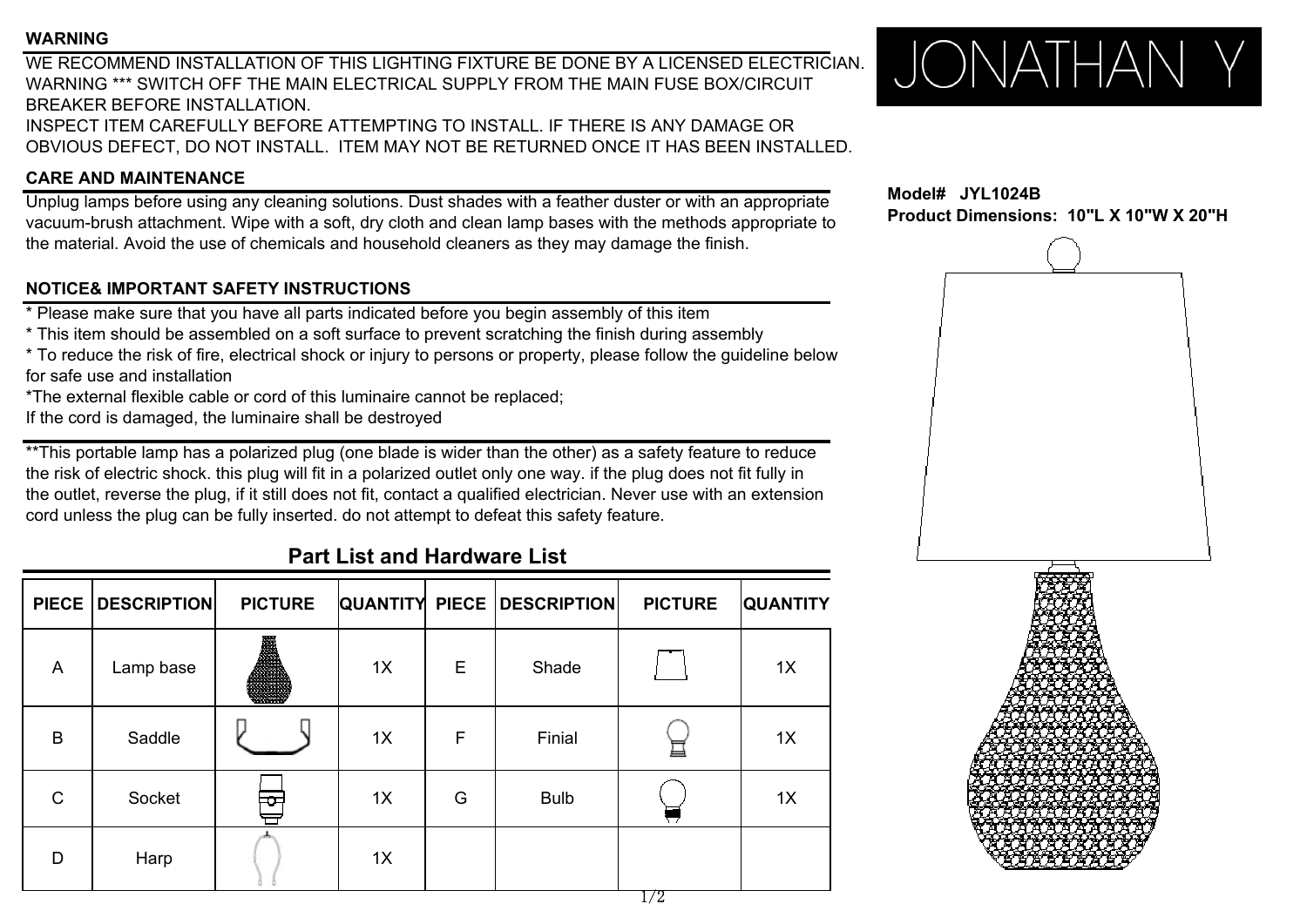#### **WARNING**

WE RECOMMEND INSTALLATION OF THIS LIGHTING FIXTURE BE DONE BY A LICENSED ELECTRICIAN. WARNING \*\*\* SWITCH OFF THE MAIN ELECTRICAL SUPPLY FROM THE MAIN FUSE BOX/CIRCUITBREAKER BEFORE INSTALLATION.

INSPECT ITEM CAREFULLY BEFORE ATTEMPTING TO INSTALL. IF THERE IS ANY DAMAGE OR OBVIOUS DEFECT, DO NOT INSTALL. ITEM MAY NOT BE RETURNED ONCE IT HAS BEEN INSTALLED.

### **CARE AND MAINTENANCE**

Unplug lamps before using any cleaning solutions. Dust shades with a feather duster or with an appropriate vacuum-brush attachment. Wipe with a soft, dry cloth and clean lamp bases with the methods appropriate to the material. Avoid the use of chemicals and household cleaners as they may damage the finish.

### **NOTICE& IMPORTANT SAFETY INSTRUCTIONS**

\* Please make sure that you have all parts indicated before you begin assembly of this item

- \* This item should be assembled on <sup>a</sup> soft surface to prevent scratching the finish during assembly
- \* To reduce the risk of fire, electrical shock or injury to persons or property, please follow the guideline below for safe use and installation
- \*The external flexible cable or cord of this luminaire cannot be replaced;
- If the cord is damaged, the luminaire shall be destroyed

\*\*This portable lamp has a polarized plug (one blade is wider than the other) as a safety feature to reduce the risk of electric shock. this plug will fit in a polarized outlet only one way. if the plug does not fit fully in the outlet, reverse the plug, if it still does not fit, contact a qualified electrician. Never use with an extension cord unless the plug can be fully inserted. do not attempt to defeat this safety feature.

## **Part List and Hardware List**

| <b>PIECE</b>   | <b>DESCRIPTION</b> | <b>PICTURE</b> |    |   | <b>QUANTITY PIECE DESCRIPTION</b> | <b>PICTURE</b> | <b>QUANTITY</b> |
|----------------|--------------------|----------------|----|---|-----------------------------------|----------------|-----------------|
| $\overline{A}$ | Lamp base          | B              | 1X | Е | Shade                             |                | 1X              |
| B              | Saddle             |                | 1X | F | Finial                            | 亘              | 1X              |
| $\mathsf C$    | Socket             | ≎              | 1X | G | <b>Bulb</b>                       |                | 1X              |
| D              | Harp               |                | 1X |   |                                   | $- \pi$        |                 |



**Model# JYL1024BProduct Dimensions: 10"L X 10"W X 20"H**